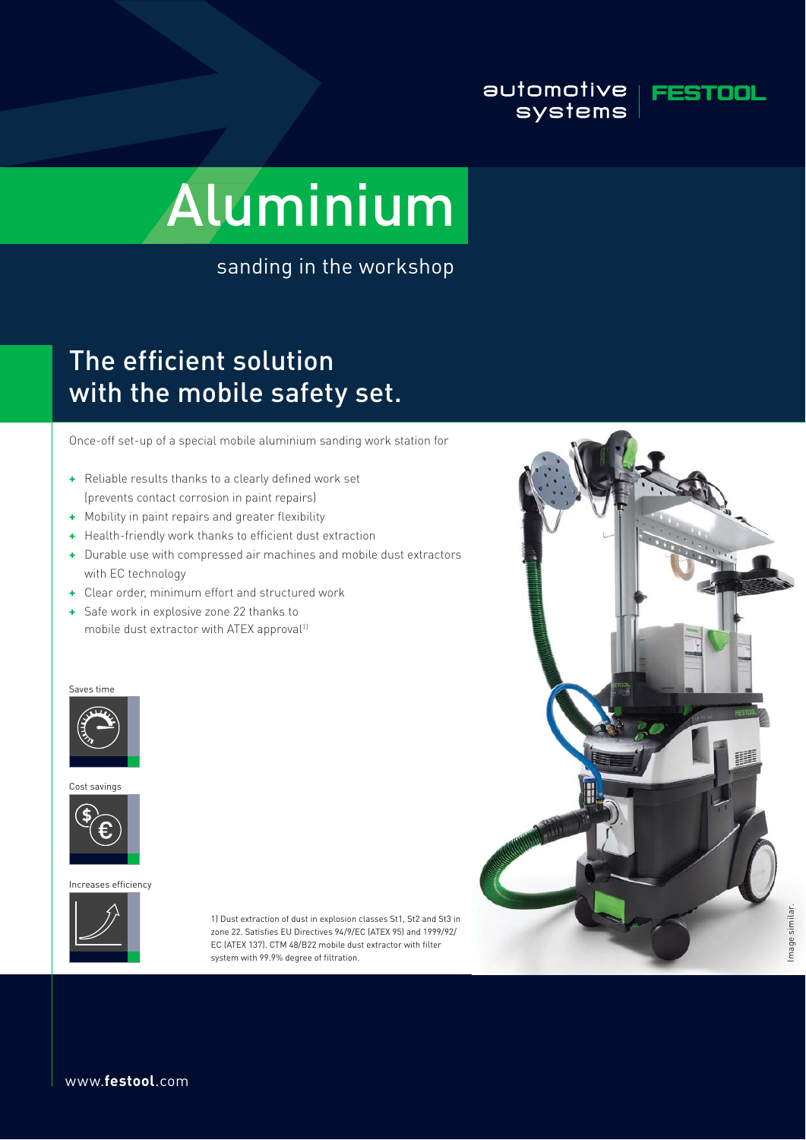### automotive | FESTOOL systems



# Aluminium

sanding in the workshop

# The efficient solution with the mobile safety set.

Once-off set-up of a special mobile aluminium sanding work station for

- + Reliable results thanks to a clearly defined work set (prevents contact corrosion in paint repairs)
- **+** Mobility in paint repairs and greater flexibility
- **+** Health-friendly work thanks to efficient dust extraction
- **+** Durable use with compressed air machines and mobile dust extractors with EC technology
- **+** Clear order, minimum effort and structured work
- **+** Safe work in explosive zone 22 thanks to mobile dust extractor with ATEX approval<sup>11</sup>

#### Saves time







Increases efficiency



1) Dust extraction of dust in explosion classes St1, St2 and St3 in zone 22. Satisfies EU Directives 94/9/EC (ATEX 95) and 1999/92/ EC (ATEX 137). CTM 48/B22 mobile dust extractor with filter system with 99.9% degree of filtration.



www.**festool**.com